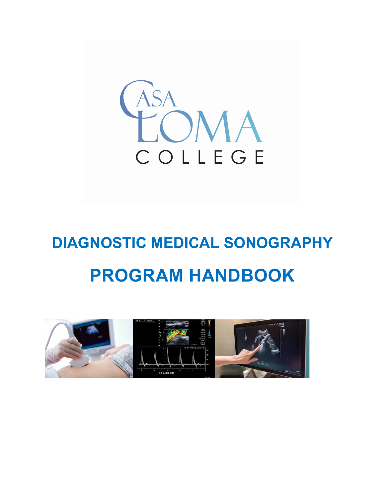

# **DIAGNOSTIC MEDICAL SONOGRAPHY PROGRAM HANDBOOK**

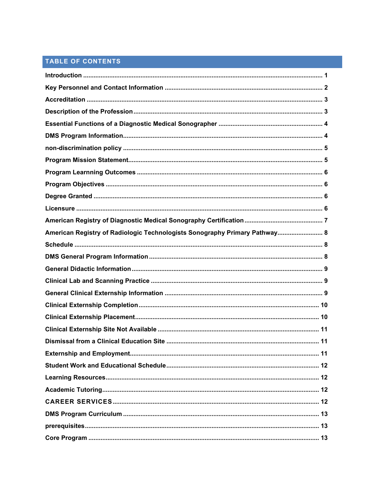# TABLE OF CONTENTS

| American Registry of Radiologic Technologists Sonography Primary Pathway 8 |
|----------------------------------------------------------------------------|
|                                                                            |
|                                                                            |
|                                                                            |
|                                                                            |
|                                                                            |
|                                                                            |
|                                                                            |
|                                                                            |
|                                                                            |
|                                                                            |
|                                                                            |
|                                                                            |
|                                                                            |
|                                                                            |
|                                                                            |
|                                                                            |
|                                                                            |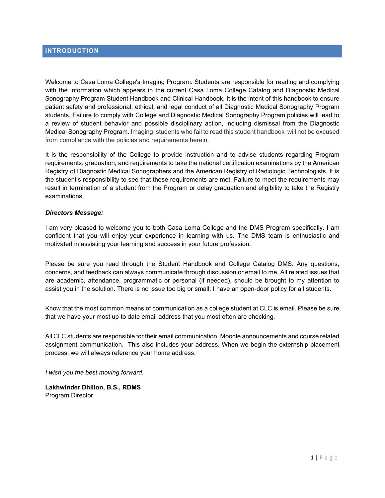<span id="page-4-0"></span>Welcome to Casa Loma College's Imaging Program. Students are responsible for reading and complying with the information which appears in the current Casa Loma College Catalog and Diagnostic Medical Sonography Program Student Handbook and Clinical Handbook. It is the intent of this handbook to ensure patient safety and professional, ethical, and legal conduct of all Diagnostic Medical Sonography Program students. Failure to comply with College and Diagnostic Medical Sonography Program policies will lead to a review of student behavior and possible disciplinary action, including dismissal from the Diagnostic Medical Sonography Program. Imaging students who fail to read this student handbook will not be excused from compliance with the policies and requirements herein.

It is the responsibility of the College to provide instruction and to advise students regarding Program requirements, graduation, and requirements to take the national certification examinations by the American Registry of Diagnostic Medical Sonographers and the American Registry of Radiologic Technologists. It is the student's responsibility to see that these requirements are met. Failure to meet the requirements may result in termination of a student from the Program or delay graduation and eligibility to take the Registry examinations.

### *Directors Message:*

I am very pleased to welcome you to both Casa Loma College and the DMS Program specifically. I am confident that you will enjoy your experience in learning with us. The DMS team is enthusiastic and motivated in assisting your learning and success in your future profession.

Please be sure you read through the Student Handbook and College Catalog DMS. Any questions, concerns, and feedback can always communicate through discussion or email to me. All related issues that are academic, attendance, programmatic or personal (if needed), should be brought to my attention to assist you in the solution. There is no issue too big or small; I have an open-door policy for all students.

Know that the most common means of communication as a college student at CLC is email. Please be sure that we have your most up to date email address that you most often are checking.

All CLC students are responsible for their email communication, Moodle announcements and course related assignment communication. This also includes your address. When we begin the externship placement process, we will always reference your home address.

*I wish you the best moving forward.* 

**Lakhwinder Dhillon, B.S., RDMS** Program Director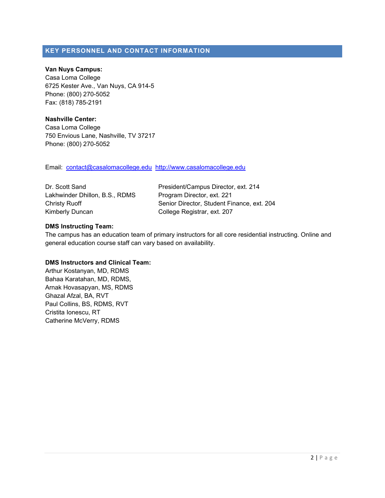## <span id="page-5-0"></span>**KEY PERSONNEL AND CONTACT INFORMATION**

**Van Nuys Campus:** Casa Loma College 6725 Kester Ave., Van Nuys, CA 914-5 Phone: (800) 270-5052 Fax: (818) 785-2191

### **Nashville Center:**

Casa Loma College 750 Envious Lane, Nashville, TV 37217 Phone: (800) 270-5052

Email: [contact@casalomacollege.edu](mailto:contact@casalomacollege.edu) [http://www.casalomacollege.edu](http://www.casalomacollege.edu/)

| Dr. Scott Sand                 | President/Campus Director, ext. 214        |
|--------------------------------|--------------------------------------------|
| Lakhwinder Dhillon, B.S., RDMS | Program Director, ext. 221                 |
| <b>Christy Ruoff</b>           | Senior Director, Student Finance, ext. 204 |
| Kimberly Duncan                | College Registrar, ext. 207                |

### **DMS Instructing Team:**

The campus has an education team of primary instructors for all core residential instructing. Online and general education course staff can vary based on availability.

### **DMS Instructors and Clinical Team:**

Arthur Kostanyan, MD, RDMS Bahaa Karatahan, MD, RDMS, Arnak Hovasapyan, MS, RDMS Ghazal Afzal, BA, RVT Paul Collins, BS, RDMS, RVT Cristita Ionescu, RT Catherine McVerry, RDMS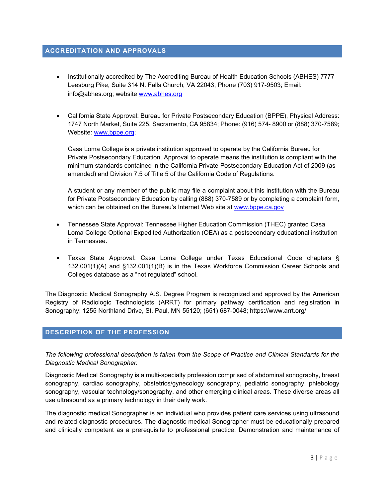# <span id="page-6-0"></span>**ACCREDITATION AND APPROVALS**

- Institutionally accredited by The Accrediting Bureau of Health Education Schools (ABHES) 7777 Leesburg Pike, Suite 314 N. Falls Church, VA 22043; Phone (703) 917-9503; Email: info@abhes.org; website [www.abhes.org](http://www.abhes.org/)
- California State Approval: Bureau for Private Postsecondary Education (BPPE), Physical Address: 1747 North Market, Suite 225, Sacramento, CA 95834; Phone: (916) 574- 8900 or (888) 370-7589; Website: [www.bppe.org;](http://www.bppe.org/)

Casa Loma College is a private institution approved to operate by the California Bureau for Private Postsecondary Education. Approval to operate means the institution is compliant with the minimum standards contained in the California Private Postsecondary Education Act of 2009 (as amended) and Division 7.5 of Title 5 of the California Code of Regulations.

A student or any member of the public may file a complaint about this institution with the Bureau for Private Postsecondary Education by calling (888) 370-7589 or by completing a complaint form, which can be obtained on the Bureau's Internet Web site at [www.bppe.ca.gov](http://www.bppe.ca.gov/)

- Tennessee State Approval: Tennessee Higher Education Commission (THEC) granted Casa Loma College Optional Expedited Authorization (OEA) as a postsecondary educational institution in Tennessee.
- Texas State Approval: Casa Loma College under Texas Educational Code chapters § 132.001(1)(A) and §132.001(1)(B) is in the Texas Workforce Commission Career Schools and Colleges database as a "not regulated" school.

The Diagnostic Medical Sonography A.S. Degree Program is recognized and approved by the American Registry of Radiologic Technologists (ARRT) for primary pathway certification and registration in Sonography; 1255 Northland Drive, St. Paul, MN 55120; (651) 687-0048; https://www.arrt.org/

### <span id="page-6-1"></span>**DESCRIPTION OF THE PROFESSION**

*The following professional description is taken from the Scope of Practice and Clinical Standards for the Diagnostic Medical Sonographer.*

Diagnostic Medical Sonography is a multi-specialty profession comprised of abdominal sonography, breast sonography, cardiac sonography, obstetrics/gynecology sonography, pediatric sonography, phlebology sonography, vascular technology/sonography, and other emerging clinical areas. These diverse areas all use ultrasound as a primary technology in their daily work.

The diagnostic medical Sonographer is an individual who provides patient care services using ultrasound and related diagnostic procedures. The diagnostic medical Sonographer must be educationally prepared and clinically competent as a prerequisite to professional practice. Demonstration and maintenance of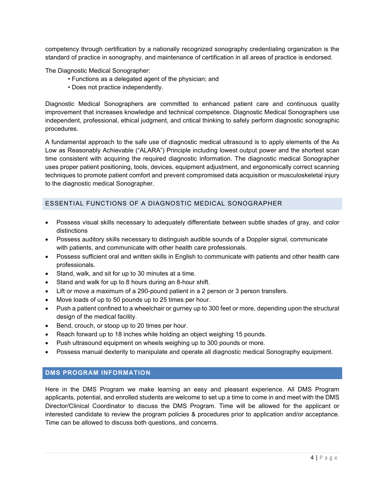competency through certification by a nationally recognized sonography credentialing organization is the standard of practice in sonography, and maintenance of certification in all areas of practice is endorsed.

The Diagnostic Medical Sonographer:

- Functions as a delegated agent of the physician; and
- Does not practice independently.

Diagnostic Medical Sonographers are committed to enhanced patient care and continuous quality improvement that increases knowledge and technical competence. Diagnostic Medical Sonographers use independent, professional, ethical judgment, and critical thinking to safely perform diagnostic sonographic procedures.

A fundamental approach to the safe use of diagnostic medical ultrasound is to apply elements of the As Low as Reasonably Achievable ("ALARA") Principle including lowest output power and the shortest scan time consistent with acquiring the required diagnostic information. The diagnostic medical Sonographer uses proper patient positioning, tools, devices, equipment adjustment, and ergonomically correct scanning techniques to promote patient comfort and prevent compromised data acquisition or musculoskeletal injury to the diagnostic medical Sonographer.

# <span id="page-7-0"></span>ESSENTIAL FUNCTIONS OF A DIAGNOSTIC MEDICAL SONOGRAPHER

- Possess visual skills necessary to adequately differentiate between subtle shades of gray, and color distinctions
- Possess auditory skills necessary to distinguish audible sounds of a Doppler signal, communicate with patients, and communicate with other health care professionals.
- Possess sufficient oral and written skills in English to communicate with patients and other health care professionals.
- Stand, walk, and sit for up to 30 minutes at a time.
- Stand and walk for up to 8 hours during an 8-hour shift.
- Lift or move a maximum of a 290-pound patient in a 2 person or 3 person transfers.
- Move loads of up to 50 pounds up to 25 times per hour.
- Push a patient confined to a wheelchair or gurney up to 300 feet or more, depending upon the structural design of the medical facility.
- Bend, crouch, or stoop up to 20 times per hour.
- Reach forward up to 18 inches while holding an object weighing 15 pounds.
- Push ultrasound equipment on wheels weighing up to 300 pounds or more.
- Possess manual dexterity to manipulate and operate all diagnostic medical Sonography equipment.

### <span id="page-7-1"></span>**DMS PROGRAM INFORMATION**

Here in the DMS Program we make learning an easy and pleasant experience. All DMS Program applicants, potential, and enrolled students are welcome to set up a time to come in and meet with the DMS Director/Clinical Coordinator to discuss the DMS Program. Time will be allowed for the applicant or interested candidate to review the program policies & procedures prior to application and/or acceptance. Time can be allowed to discuss both questions, and concerns.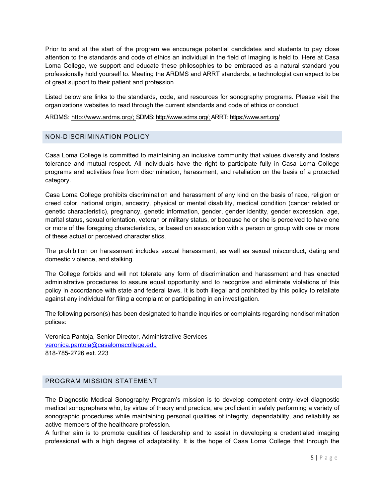Prior to and at the start of the program we encourage potential candidates and students to pay close attention to the standards and code of ethics an individual in the field of Imaging is held to. Here at Casa Loma College, we support and educate these philosophies to be embraced as a natural standard you professionally hold yourself to. Meeting the ARDMS and ARRT standards, a technologist can expect to be of great support to their patient and profession.

Listed below are links to the standards, code, and resources for sonography programs. Please visit the organizations websites to read through the current standards and code of ethics or conduct.

<span id="page-8-0"></span>ARDMS: [http://www.ardms.org/;](http://www.ardms.org/) SDMS[: http://www.sdms.org/;](http://www.sdms.org/) ARRT[: https://www.arrt.org/](https://www.arrt.org/)

# NON-DISCRIMINATION POLICY

Casa Loma College is committed to maintaining an inclusive community that values diversity and fosters tolerance and mutual respect. All individuals have the right to participate fully in Casa Loma College programs and activities free from discrimination, harassment, and retaliation on the basis of a protected category.

Casa Loma College prohibits discrimination and harassment of any kind on the basis of race, religion or creed color, national origin, ancestry, physical or mental disability, medical condition (cancer related or genetic characteristic), pregnancy, genetic information, gender, gender identity, gender expression, age, marital status, sexual orientation, veteran or military status, or because he or she is perceived to have one or more of the foregoing characteristics, or based on association with a person or group with one or more of these actual or perceived characteristics.

The prohibition on harassment includes sexual harassment, as well as sexual misconduct, dating and domestic violence, and stalking.

The College forbids and will not tolerate any form of discrimination and harassment and has enacted administrative procedures to assure equal opportunity and to recognize and eliminate violations of this policy in accordance with state and federal laws. It is both illegal and prohibited by this policy to retaliate against any individual for filing a complaint or participating in an investigation.

The following person(s) has been designated to handle inquiries or complaints regarding nondiscrimination polices:

Veronica Pantoja, Senior Director, Administrative Services [veronica.pantoja@casalomacollege.edu](mailto:veronica.pantoja@casalomacollege.edu) 818-785-2726 ext. 223

## <span id="page-8-1"></span>PROGRAM MISSION STATEMENT

The Diagnostic Medical Sonography Program's mission is to develop competent entry-level diagnostic medical sonographers who, by virtue of theory and practice, are proficient in safely performing a variety of sonographic procedures while maintaining personal qualities of integrity, dependability, and reliability as active members of the healthcare profession.

A further aim is to promote qualities of leadership and to assist in developing a credentialed imaging professional with a high degree of adaptability. It is the hope of Casa Loma College that through the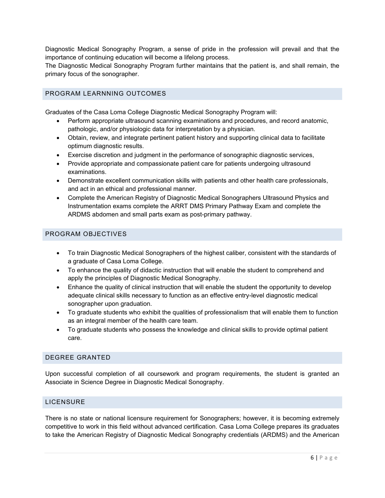Diagnostic Medical Sonography Program, a sense of pride in the profession will prevail and that the importance of continuing education will become a lifelong process.

The Diagnostic Medical Sonography Program further maintains that the patient is, and shall remain, the primary focus of the sonographer.

# <span id="page-9-0"></span>PROGRAM LEARNNING OUTCOMES

Graduates of the Casa Loma College Diagnostic Medical Sonography Program will:

- Perform appropriate ultrasound scanning examinations and procedures, and record anatomic, pathologic, and/or physiologic data for interpretation by a physician.
- Obtain, review, and integrate pertinent patient history and supporting clinical data to facilitate optimum diagnostic results.
- Exercise discretion and judgment in the performance of sonographic diagnostic services,
- Provide appropriate and compassionate patient care for patients undergoing ultrasound examinations.
- Demonstrate excellent communication skills with patients and other health care professionals, and act in an ethical and professional manner.
- Complete the American Registry of Diagnostic Medical Sonographers Ultrasound Physics and Instrumentation exams complete the ARRT DMS Primary Pathway Exam and complete the ARDMS abdomen and small parts exam as post-primary pathway.

# <span id="page-9-1"></span>PROGRAM OBJECTIVES

- To train Diagnostic Medical Sonographers of the highest caliber, consistent with the standards of a graduate of Casa Loma College.
- To enhance the quality of didactic instruction that will enable the student to comprehend and apply the principles of Diagnostic Medical Sonography.
- Enhance the quality of clinical instruction that will enable the student the opportunity to develop adequate clinical skills necessary to function as an effective entry-level diagnostic medical sonographer upon graduation.
- To graduate students who exhibit the qualities of professionalism that will enable them to function as an integral member of the health care team.
- To graduate students who possess the knowledge and clinical skills to provide optimal patient care.

## <span id="page-9-2"></span>DEGREE GRANTED

Upon successful completion of all coursework and program requirements, the student is granted an Associate in Science Degree in Diagnostic Medical Sonography.

### <span id="page-9-3"></span>**LICENSURE**

There is no state or national licensure requirement for Sonographers; however, it is becoming extremely competitive to work in this field without advanced certification. Casa Loma College prepares its graduates to take the American Registry of Diagnostic Medical Sonography credentials (ARDMS) and the American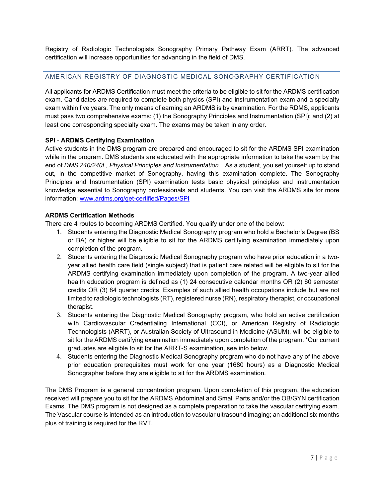Registry of Radiologic Technologists Sonography Primary Pathway Exam (ARRT). The advanced certification will increase opportunities for advancing in the field of DMS.

# <span id="page-10-0"></span>AMERICAN REGISTRY OF DIAGNOSTIC MEDICAL SONOGRAPHY CERTIFICATION

All applicants for ARDMS Certification must meet the criteria to be eligible to sit for the ARDMS certification exam. Candidates are required to complete both physics (SPI) and instrumentation exam and a specialty exam within five years. The only means of earning an ARDMS is by examination. For the RDMS, applicants must pass two comprehensive exams: (1) the Sonography Principles and Instrumentation (SPI); and (2) at least one corresponding specialty exam. The exams may be taken in any order.

# **SPI** - **ARDMS Certifying Examination**

Active students in the DMS program are prepared and encouraged to sit for the ARDMS SPI examination while in the program. DMS students are educated with the appropriate information to take the exam by the end of *DMS 240/240L, Physical Principles and Instrumentation*. As a student, you set yourself up to stand out, in the competitive market of Sonography, having this examination complete. The Sonography Principles and Instrumentation (SPI) examination tests basic physical principles and instrumentation knowledge essential to Sonography professionals and students. You can visit the ARDMS site for more information: [www.ardms.org/get-certified/Pages/SPI](http://www.ardms.org/get-certified/Pages/SPI)

# **ARDMS Certification Methods**

There are 4 routes to becoming ARDMS Certified. You qualify under one of the below:

- 1. Students entering the Diagnostic Medical Sonography program who hold a Bachelor's Degree (BS or BA) or higher will be eligible to sit for the ARDMS certifying examination immediately upon completion of the program.
- 2. Students entering the Diagnostic Medical Sonography program who have prior education in a twoyear allied health care field (single subject) that is patient care related will be eligible to sit for the ARDMS certifying examination immediately upon completion of the program. A two-year allied health education program is defined as (1) 24 consecutive calendar months OR (2) 60 semester credits OR (3) 84 quarter credits. Examples of such allied health occupations include but are not limited to radiologic technologists (RT), registered nurse (RN), respiratory therapist, or occupational therapist.
- 3. Students entering the Diagnostic Medical Sonography program, who hold an active certification with Cardiovascular Credentialing International (CCI), or American Registry of Radiologic Technologists (ARRT), or Australian Society of Ultrasound in Medicine (ASUM), will be eligible to sit for the ARDMS certifying examination immediately upon completion of the program. \*Our current graduates are eligible to sit for the ARRT-S examination, see info below.
- 4. Students entering the Diagnostic Medical Sonography program who do not have any of the above prior education prerequisites must work for one year (1680 hours) as a Diagnostic Medical Sonographer before they are eligible to sit for the ARDMS examination.

The DMS Program is a general concentration program. Upon completion of this program, the education received will prepare you to sit for the ARDMS Abdominal and Small Parts and/or the OB/GYN certification Exams. The DMS program is not designed as a complete preparation to take the vascular certifying exam. The Vascular course is intended as an introduction to vascular ultrasound imaging; an additional six months plus of training is required for the RVT.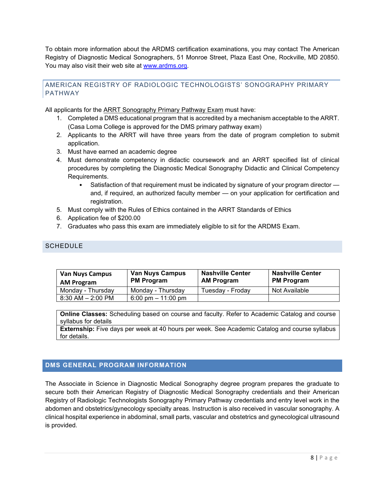To obtain more information about the ARDMS certification examinations, you may contact The American Registry of Diagnostic Medical Sonographers, 51 Monroe Street, Plaza East One, Rockville, MD 20850. You may also visit their web site at [www.ardms.org.](http://www.ardms.org/)

# <span id="page-11-0"></span>AMERICAN REGISTRY OF RADIOLOGIC TECHNOLOGISTS' SONOGRAPHY PRIMARY PATHWAY

All applicants for the **ARRT Sonography Primary Pathway Exam must have:** 

- 1. Completed a DMS educational program that is accredited by a mechanism acceptable to the ARRT. (Casa Loma College is approved for the DMS primary pathway exam)
- 2. Applicants to the ARRT will have three years from the date of program completion to submit application.
- 3. Must have earned an academic degree
- 4. Must demonstrate competency in didactic coursework and an ARRT specified list of clinical procedures by completing the Diagnostic Medical Sonography Didactic and Clinical Competency Requirements.
	- Satisfaction of that requirement must be indicated by signature of your program director and, if required, an authorized faculty member — on your application for certification and registration.
- 5. Must comply with the Rules of Ethics contained in the ARRT Standards of Ethics
- 6. Application fee of \$200.00
- 7. Graduates who pass this exam are immediately eligible to sit for the ARDMS Exam.

### <span id="page-11-1"></span>SCHEDULE

| <b>Van Nuys Campus</b><br><b>AM Program</b> | <b>Van Nuys Campus</b><br><b>PM Program</b> | <b>Nashville Center</b><br><b>AM Program</b> | <b>Nashville Center</b><br><b>PM Program</b> |
|---------------------------------------------|---------------------------------------------|----------------------------------------------|----------------------------------------------|
| Monday - Thursday                           | Monday - Thursday                           | Tuesday - Froday                             | Not Available                                |
| $8:30$ AM $- 2:00$ PM                       | $6:00 \text{ pm} - 11:00 \text{ pm}$        |                                              |                                              |

**Online Classes:** Scheduling based on course and faculty. Refer to Academic Catalog and course syllabus for details

**Externship:** Five days per week at 40 hours per week. See Academic Catalog and course syllabus for details.

# <span id="page-11-2"></span>**DMS GENERAL PROGRAM INFORMATION**

The Associate in Science in Diagnostic Medical Sonography degree program prepares the graduate to secure both their American Registry of Diagnostic Medical Sonography credentials and their American Registry of Radiologic Technologists Sonography Primary Pathway credentials and entry level work in the abdomen and obstetrics/gynecology specialty areas. Instruction is also received in vascular sonography. A clinical hospital experience in abdominal, small parts, vascular and obstetrics and gynecological ultrasound is provided.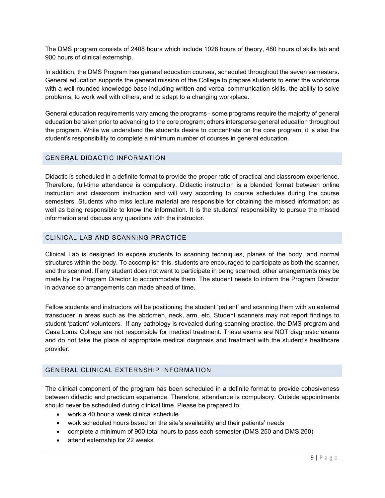The DMS program consists of 2408 hours which include 1028 hours of theory, 480 hours of skills lab and 900 hours of clinical externship.

In addition, the DMS Program has general education courses, scheduled throughout the seven semesters. General education supports the general mission of the College to prepare students to enter the workforce with a well-rounded knowledge base including written and verbal communication skills, the ability to solve problems, to work well with others, and to adapt to a changing workplace.

General education requirements vary among the programs - some programs require the majority of general education be taken prior to advancing to the core program; others intersperse general education throughout the program. While we understand the students desire to concentrate on the core program, it is also the student's responsibility to complete a minimum number of courses in general education.

### <span id="page-12-0"></span>GENERAL DIDACTIC INFORMATION

Didactic is scheduled in a definite format to provide the proper ratio of practical and classroom experience. Therefore, full-time attendance is compulsory. Didactic instruction is a blended format between online instruction and classroom instruction and will vary according to course schedules during the course semesters. Students who miss lecture material are responsible for obtaining the missed information; as well as being responsible to know the information. It is the students' responsibility to pursue the missed information and discuss any questions with the instructor.

### <span id="page-12-1"></span>CLINICAL LAB AND SCANNING PRACTICE

Clinical Lab is designed to expose students to scanning techniques, planes of the body, and normal structures within the body. To accomplish this, students are encouraged to participate as both the scanner, and the scanned. If any student does not want to participate in being scanned, other arrangements may be made by the Program Director to accommodate them. The student needs to inform the Program Director in advance so arrangements can made ahead of time.

Fellow students and instructors will be positioning the student 'patient' and scanning them with an external transducer in areas such as the abdomen, neck, arm, etc. Student scanners may not report findings to student 'patient' volunteers. If any pathology is revealed during scanning practice, the DMS program and Casa Loma College are not responsible for medical treatment. These exams are NOT diagnostic exams and do not take the place of appropriate medical diagnosis and treatment with the student's healthcare provider.

# <span id="page-12-2"></span>GENERAL CLINICAL EXTERNSHIP INFORMATION

The clinical component of the program has been scheduled in a definite format to provide cohesiveness between didactic and practicum experience. Therefore, attendance is compulsory. Outside appointments should never be scheduled during clinical time. Please be prepared to:

- work a 40 hour a week clinical schedule
- work scheduled hours based on the site's availability and their patients' needs
- complete a minimum of 900 total hours to pass each semester (DMS 250 and DMS 260)
- attend externship for 22 weeks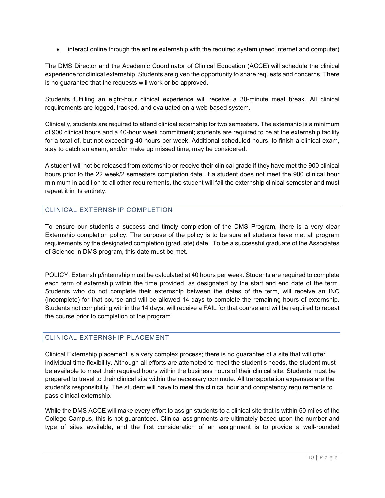• interact online through the entire externship with the required system (need internet and computer)

The DMS Director and the Academic Coordinator of Clinical Education (ACCE) will schedule the clinical experience for clinical externship. Students are given the opportunity to share requests and concerns. There is no guarantee that the requests will work or be approved.

Students fulfilling an eight-hour clinical experience will receive a 30-minute meal break. All clinical requirements are logged, tracked, and evaluated on a web-based system.

Clinically, students are required to attend clinical externship for two semesters. The externship is a minimum of 900 clinical hours and a 40-hour week commitment; students are required to be at the externship facility for a total of, but not exceeding 40 hours per week. Additional scheduled hours, to finish a clinical exam, stay to catch an exam, and/or make up missed time, may be considered.

A student will not be released from externship or receive their clinical grade if they have met the 900 clinical hours prior to the 22 week/2 semesters completion date. If a student does not meet the 900 clinical hour minimum in addition to all other requirements, the student will fail the externship clinical semester and must repeat it in its entirety.

# <span id="page-13-0"></span>CLINICAL EXTERNSHIP COMPLETION

To ensure our students a success and timely completion of the DMS Program, there is a very clear Externship completion policy. The purpose of the policy is to be sure all students have met all program requirements by the designated completion (graduate) date. To be a successful graduate of the Associates of Science in DMS program, this date must be met.

POLICY: Externship/internship must be calculated at 40 hours per week. Students are required to complete each term of externship within the time provided, as designated by the start and end date of the term. Students who do not complete their externship between the dates of the term, will receive an INC (incomplete) for that course and will be allowed 14 days to complete the remaining hours of externship. Students not completing within the 14 days, will receive a FAIL for that course and will be required to repeat the course prior to completion of the program.

# <span id="page-13-1"></span>CLINICAL EXTERNSHIP PLACEMENT

Clinical Externship placement is a very complex process; there is no guarantee of a site that will offer individual time flexibility. Although all efforts are attempted to meet the student's needs, the student must be available to meet their required hours within the business hours of their clinical site. Students must be prepared to travel to their clinical site within the necessary commute. All transportation expenses are the student's responsibility. The student will have to meet the clinical hour and competency requirements to pass clinical externship.

While the DMS ACCE will make every effort to assign students to a clinical site that is within 50 miles of the College Campus, this is not guaranteed. Clinical assignments are ultimately based upon the number and type of sites available, and the first consideration of an assignment is to provide a well-rounded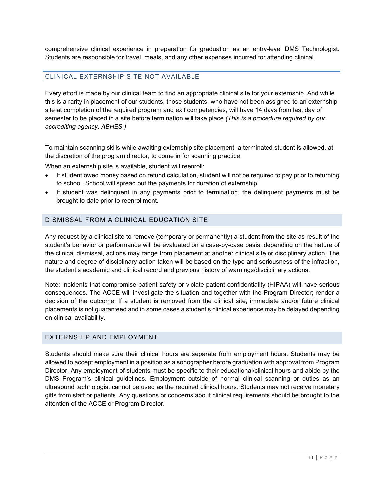comprehensive clinical experience in preparation for graduation as an entry-level DMS Technologist. Students are responsible for travel, meals, and any other expenses incurred for attending clinical.

## <span id="page-14-0"></span>CLINICAL EXTERNSHIP SITE NOT AVAILABLE

Every effort is made by our clinical team to find an appropriate clinical site for your externship. And while this is a rarity in placement of our students, those students, who have not been assigned to an externship site at completion of the required program and exit competencies, will have 14 days from last day of semester to be placed in a site before termination will take place *(This is a procedure required by our accrediting agency, ABHES.)*

To maintain scanning skills while awaiting externship site placement, a terminated student is allowed, at the discretion of the program director, to come in for scanning practice

When an externship site is available, student will reenroll:

- If student owed money based on refund calculation, student will not be required to pay prior to returning to school. School will spread out the payments for duration of externship
- If student was delinquent in any payments prior to termination, the delinquent payments must be brought to date prior to reenrollment.

# <span id="page-14-1"></span>DISMISSAL FROM A CLINICAL EDUCATION SITE

Any request by a clinical site to remove (temporary or permanently) a student from the site as result of the student's behavior or performance will be evaluated on a case-by-case basis, depending on the nature of the clinical dismissal, actions may range from placement at another clinical site or disciplinary action. The nature and degree of disciplinary action taken will be based on the type and seriousness of the infraction, the student's academic and clinical record and previous history of warnings/disciplinary actions.

Note: Incidents that compromise patient safety or violate patient confidentiality (HIPAA) will have serious consequences. The ACCE will investigate the situation and together with the Program Director; render a decision of the outcome. If a student is removed from the clinical site, immediate and/or future clinical placements is not guaranteed and in some cases a student's clinical experience may be delayed depending on clinical availability.

### <span id="page-14-2"></span>EXTERNSHIP AND EMPLOYMENT

Students should make sure their clinical hours are separate from employment hours. Students may be allowed to accept employment in a position as a sonographer before graduation with approval from Program Director. Any employment of students must be specific to their educational/clinical hours and abide by the DMS Program's clinical guidelines. Employment outside of normal clinical scanning or duties as an ultrasound technologist cannot be used as the required clinical hours. Students may not receive monetary gifts from staff or patients. Any questions or concerns about clinical requirements should be brought to the attention of the ACCE or Program Director.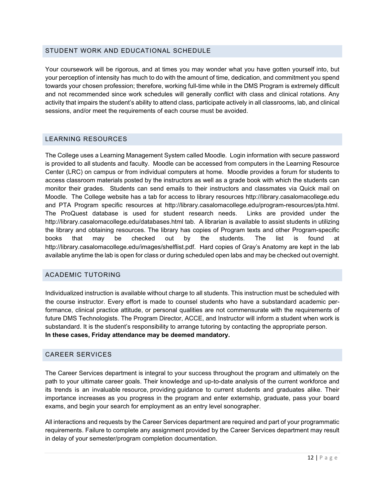### <span id="page-15-0"></span>STUDENT WORK AND EDUCATIONAL SCHEDULE

Your coursework will be rigorous, and at times you may wonder what you have gotten yourself into, but your perception of intensity has much to do with the amount of time, dedication, and commitment you spend towards your chosen profession; therefore, working full-time while in the DMS Program is extremely difficult and not recommended since work schedules will generally conflict with class and clinical rotations. Any activity that impairs the student's ability to attend class, participate actively in all classrooms, lab, and clinical sessions, and/or meet the requirements of each course must be avoided.

# <span id="page-15-1"></span>LEARNING RESOURCES

The College uses a Learning Management System called Moodle. Login information with secure password is provided to all students and faculty. Moodle can be accessed from computers in the Learning Resource Center (LRC) on campus or from individual computers at home. Moodle provides a forum for students to access classroom materials posted by the instructors as well as a grade book with which the students can monitor their grades. Students can send emails to their instructors and classmates via Quick mail on Moodle. The College website has a tab for access to library resources http://library.casalomacollege.edu and PTA Program specific resources at http://library.casalomacollege.edu/program-resources/pta.html. The ProQuest database is used for student research needs. Links are provided under the http://library.casalomacollege.edu/databases.html tab. A librarian is available to assist students in utilizing the library and obtaining resources. The library has copies of Program texts and other Program-specific books that may be checked out by the students. The list is found at http://library.casalomacollege.edu/images/shelflist.pdf. Hard copies of Gray's Anatomy are kept in the lab available anytime the lab is open for class or during scheduled open labs and may be checked out overnight.

### <span id="page-15-2"></span>ACADEMIC TUTORING

Individualized instruction is available without charge to all students. This instruction must be scheduled with the course instructor. Every effort is made to counsel students who have a substandard academic performance, clinical practice attitude, or personal qualities are not commensurate with the requirements of future DMS Technologists. The Program Director, ACCE, and Instructor will inform a student when work is substandard. It is the student's responsibility to arrange tutoring by contacting the appropriate person. **In these cases, Friday attendance may be deemed mandatory.**

# <span id="page-15-3"></span>CAREER SERVICES

The Career Services department is integral to your success throughout the program and ultimately on the path to your ultimate career goals. Their knowledge and up-to-date analysis of the current workforce and its trends is an invaluable resource, providing guidance to current students and graduates alike. Their importance increases as you progress in the program and enter externship, graduate, pass your board exams, and begin your search for employment as an entry level sonographer.

All interactions and requests by the Career Services department are required and part of your programmatic requirements. Failure to complete any assignment provided by the Career Services department may result in delay of your semester/program completion documentation.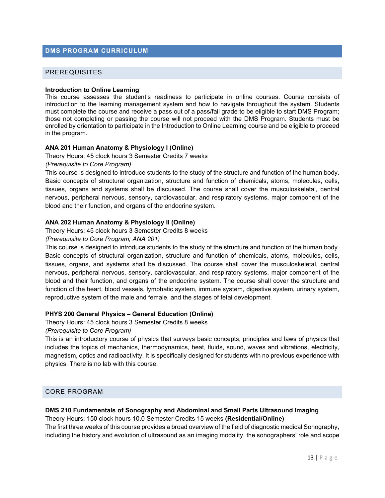### <span id="page-16-1"></span><span id="page-16-0"></span>**DMS PROGRAM CURRICULUM**

### PREREQUISITES

### **Introduction to Online Learning**

This course assesses the student's readiness to participate in online courses. Course consists of introduction to the learning management system and how to navigate throughout the system. Students must complete the course and receive a pass out of a pass/fail grade to be eligible to start DMS Program; those not completing or passing the course will not proceed with the DMS Program. Students must be enrolled by orientation to participate in the Introduction to Online Learning course and be eligible to proceed in the program.

#### **ANA 201 Human Anatomy & Physiology I (Online)**

Theory Hours: 45 clock hours 3 Semester Credits 7 weeks

#### *(Prerequisite to Core Program)*

This course is designed to introduce students to the study of the structure and function of the human body. Basic concepts of structural organization, structure and function of chemicals, atoms, molecules, cells, tissues, organs and systems shall be discussed. The course shall cover the musculoskeletal, central nervous, peripheral nervous, sensory, cardiovascular, and respiratory systems, major component of the blood and their function, and organs of the endocrine system.

### **ANA 202 Human Anatomy & Physiology II (Online)**

Theory Hours: 45 clock hours 3 Semester Credits 8 weeks

### *(Prerequisite to Core Program; ANA 201)*

This course is designed to introduce students to the study of the structure and function of the human body. Basic concepts of structural organization, structure and function of chemicals, atoms, molecules, cells, tissues, organs, and systems shall be discussed. The course shall cover the musculoskeletal, central nervous, peripheral nervous, sensory, cardiovascular, and respiratory systems, major component of the blood and their function, and organs of the endocrine system. The course shall cover the structure and function of the heart, blood vessels, lymphatic system, immune system, digestive system, urinary system, reproductive system of the male and female, and the stages of fetal development.

### **PHYS 200 General Physics – General Education (Online)**

Theory Hours: 45 clock hours 3 Semester Credits 8 weeks

#### *(Prerequisite to Core Program)*

This is an introductory course of physics that surveys basic concepts, principles and laws of physics that includes the topics of mechanics, thermodynamics, heat, fluids, sound, waves and vibrations, electricity, magnetism, optics and radioactivity. It is specifically designed for students with no previous experience with physics. There is no lab with this course.

### <span id="page-16-2"></span>CORE PROGRAM

### **DMS 210 Fundamentals of Sonography and Abdominal and Small Parts Ultrasound Imaging** Theory Hours: 150 clock hours 10.0 Semester Credits 15 weeks **(Residential/Online)**

The first three weeks of this course provides a broad overview of the field of diagnostic medical Sonography, including the history and evolution of ultrasound as an imaging modality, the sonographers' role and scope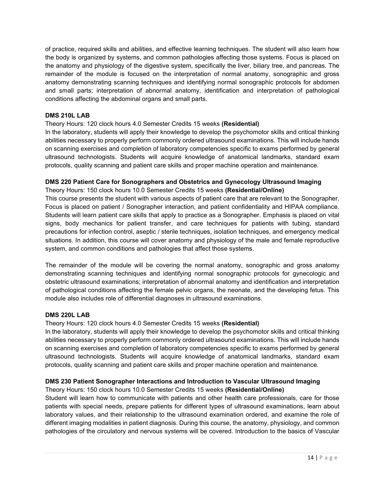of practice, required skills and abilities, and effective learning techniques. The student will also learn how the body is organized by systems, and common pathologies affecting those systems. Focus is placed on the anatomy and physiology of the digestive system, specifically the liver, biliary tree, and pancreas. The remainder of the module is focused on the interpretation of normal anatomy, sonographic and gross anatomy demonstrating scanning techniques and identifying normal sonographic protocols for abdomen and small parts; interpretation of abnormal anatomy, identification and interpretation of pathological conditions affecting the abdominal organs and small parts.

### **DMS 210L LAB**

# Theory Hours: 120 clock hours 4.0 Semester Credits 15 weeks **(Residential)**

In the laboratory, students will apply their knowledge to develop the psychomotor skills and critical thinking abilities necessary to properly perform commonly ordered ultrasound examinations. This will include hands on scanning exercises and completion of laboratory competencies specific to exams performed by general ultrasound technologists. Students will acquire knowledge of anatomical landmarks, standard exam protocols, quality scanning and patient care skills and proper machine operation and maintenance.

### **DMS 220 Patient Care for Sonographers and Obstetrics and Gynecology Ultrasound Imaging** Theory Hours: 150 clock hours 10.0 Semester Credits 15 weeks **(Residential/Online)**

This course presents the student with various aspects of patient care that are relevant to the Sonographer. Focus is placed on patient / Sonographer interaction, and patient confidentiality and HIPAA compliance. Students will learn patient care skills that apply to practice as a Sonographer. Emphasis is placed on vital signs, body mechanics for patient transfer, and care techniques for patients with tubing, standard precautions for infection control, aseptic / sterile techniques, isolation techniques, and emergency medical situations. In addition, this course will cover anatomy and physiology of the male and female reproductive system, and common conditions and pathologies that affect those systems.

The remainder of the module will be covering the normal anatomy, sonographic and gross anatomy demonstrating scanning techniques and identifying normal sonographic protocols for gynecologic and obstetric ultrasound examinations; interpretation of abnormal anatomy and identification and interpretation of pathological conditions affecting the female pelvic organs, the neonate, and the developing fetus. This module also includes role of differential diagnoses in ultrasound examinations.

### **DMS 220L LAB**

### Theory Hours: 120 clock hours 4.0 Semester Credits 15 weeks **(Residential)**

In the laboratory, students will apply their knowledge to develop the psychomotor skills and critical thinking abilities necessary to properly perform commonly ordered ultrasound examinations. This will include hands on scanning exercises and completion of laboratory competencies specific to exams performed by general ultrasound technologists. Students will acquire knowledge of anatomical landmarks, standard exam protocols, quality scanning and patient care skills and proper machine operation and maintenance.

# **DMS 230 Patient Sonographer Interactions and Introduction to Vascular Ultrasound Imaging**

Theory Hours: 150 clock hours 10.0 Semester Credits 15 weeks **(Residential/Online)** Student will learn how to communicate with patients and other health care professionals, care for those patients with special needs, prepare patients for different types of ultrasound examinations, learn about laboratory values, and their relationship to the ultrasound examination ordered, and examine the role of different imaging modalities in patient diagnosis. During this course, the anatomy, physiology, and common pathologies of the circulatory and nervous systems will be covered. Introduction to the basics of Vascular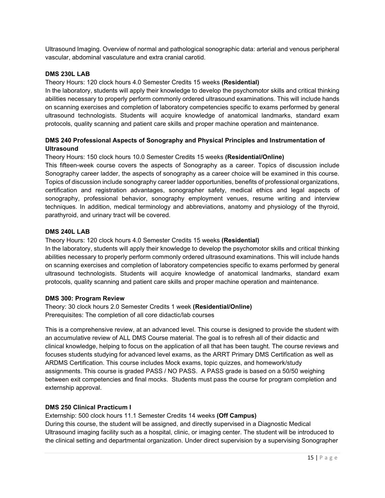Ultrasound Imaging. Overview of normal and pathological sonographic data: arterial and venous peripheral vascular, abdominal vasculature and extra cranial carotid.

### **DMS 230L LAB**

Theory Hours: 120 clock hours 4.0 Semester Credits 15 weeks **(Residential)**

In the laboratory, students will apply their knowledge to develop the psychomotor skills and critical thinking abilities necessary to properly perform commonly ordered ultrasound examinations. This will include hands on scanning exercises and completion of laboratory competencies specific to exams performed by general ultrasound technologists. Students will acquire knowledge of anatomical landmarks, standard exam protocols, quality scanning and patient care skills and proper machine operation and maintenance.

# **DMS 240 Professional Aspects of Sonography and Physical Principles and Instrumentation of Ultrasound**

### Theory Hours: 150 clock hours 10.0 Semester Credits 15 weeks **(Residential/Online)**

This fifteen-week course covers the aspects of Sonography as a career. Topics of discussion include Sonography career ladder, the aspects of sonography as a career choice will be examined in this course. Topics of discussion include sonography career ladder opportunities, benefits of professional organizations, certification and registration advantages, sonographer safety, medical ethics and legal aspects of sonography, professional behavior, sonography employment venues, resume writing and interview techniques. In addition, medical terminology and abbreviations, anatomy and physiology of the thyroid, parathyroid, and urinary tract will be covered.

### **DMS 240L LAB**

### Theory Hours: 120 clock hours 4.0 Semester Credits 15 weeks **(Residential)**

In the laboratory, students will apply their knowledge to develop the psychomotor skills and critical thinking abilities necessary to properly perform commonly ordered ultrasound examinations. This will include hands on scanning exercises and completion of laboratory competencies specific to exams performed by general ultrasound technologists. Students will acquire knowledge of anatomical landmarks, standard exam protocols, quality scanning and patient care skills and proper machine operation and maintenance.

### **DMS 300: Program Review**

Theory: 30 clock hours 2.0 Semester Credits 1 week **(Residential/Online)** Prerequisites: The completion of all core didactic/lab courses

This is a comprehensive review, at an advanced level. This course is designed to provide the student with an accumulative review of ALL DMS Course material. The goal is to refresh all of their didactic and clinical knowledge, helping to focus on the application of all that has been taught. The course reviews and focuses students studying for advanced level exams, as the ARRT Primary DMS Certification as well as ARDMS Certification. This course includes Mock exams, topic quizzes, and homework/study assignments. This course is graded PASS / NO PASS. A PASS grade is based on a 50/50 weighing between exit competencies and final mocks. Students must pass the course for program completion and externship approval.

### **DMS 250 Clinical Practicum I**

Externship: 500 clock hours 11.1 Semester Credits 14 weeks **(Off Campus)**

During this course, the student will be assigned, and directly supervised in a Diagnostic Medical Ultrasound imaging facility such as a hospital, clinic, or imaging center. The student will be introduced to the clinical setting and departmental organization. Under direct supervision by a supervising Sonographer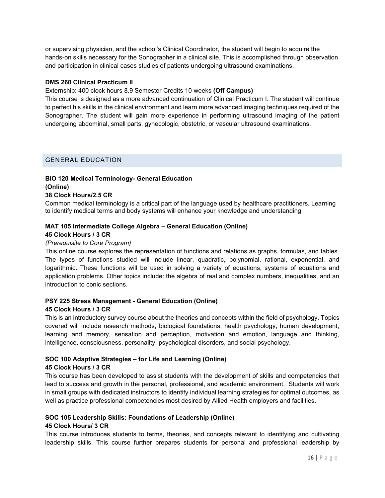or supervising physician, and the school's Clinical Coordinator, the student will begin to acquire the hands-on skills necessary for the Sonographer in a clinical site. This is accomplished through observation and participation in clinical cases studies of patients undergoing ultrasound examinations.

### **DMS 260 Clinical Practicum II**

Externship: 400 clock hours 8.9 Semester Credits 10 weeks **(Off Campus)**

This course is designed as a more advanced continuation of Clinical Practicum I. The student will continue to perfect his skills in the clinical environment and learn more advanced imaging techniques required of the Sonographer. The student will gain more experience in performing ultrasound imaging of the patient undergoing abdominal, small parts, gynecologic, obstetric, or vascular ultrasound examinations.

### <span id="page-19-0"></span>GENERAL EDUCATION

# **BIO 120 Medical Terminology- General Education (Online)**

### **38 Clock Hours/2.5 CR**

Common medical terminology is a critical part of the language used by healthcare practitioners. Learning to identify medical terms and body systems will enhance your knowledge and understanding

# **MAT 105 Intermediate College Algebra – General Education (Online)**

# **45 Clock Hours / 3 CR**

### *(Prerequisite to Core Program)*

This online course explores the representation of functions and relations as graphs, formulas, and tables. The types of functions studied will include linear, quadratic, polynomial, rational, exponential, and logarithmic. These functions will be used in solving a variety of equations, systems of equations and application problems. Other topics include: the algebra of real and complex numbers, inequalities, and an introduction to conic sections.

### **PSY 225 Stress Management - General Education (Online)**

### **45 Clock Hours / 3 CR**

This is an introductory survey course about the theories and concepts within the field of psychology. Topics covered will include research methods, biological foundations, health psychology, human development, learning and memory, sensation and perception, motivation and emotion, language and thinking, intelligence, consciousness, personality, psychological disorders, and social psychology.

# **SOC 100 Adaptive Strategies – for Life and Learning (Online)**

### **45 Clock Hours / 3 CR**

This course has been developed to assist students with the development of skills and competencies that lead to success and growth in the personal, professional, and academic environment. Students will work in small groups with dedicated instructors to identify individual learning strategies for optimal outcomes, as well as practice professional competencies most desired by Allied Health employers and facilities.

# **SOC 105 Leadership Skills: Foundations of Leadership (Online)**

### **45 Clock Hours/ 3 CR**

This course introduces students to terms, theories, and concepts relevant to identifying and cultivating leadership skills. This course further prepares students for personal and professional leadership by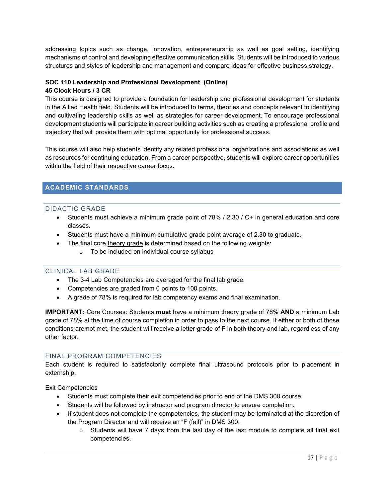addressing topics such as change, innovation, entrepreneurship as well as goal setting, identifying mechanisms of control and developing effective communication skills. Students will be introduced to various structures and styles of leadership and management and compare ideas for effective business strategy.

# **SOC 110 Leadership and Professional Development (Online) 45 Clock Hours / 3 CR**

This course is designed to provide a foundation for leadership and professional development for students in the Allied Health field. Students will be introduced to terms, theories and concepts relevant to identifying and cultivating leadership skills as well as strategies for career development. To encourage professional development students will participate in career building activities such as creating a professional profile and trajectory that will provide them with optimal opportunity for professional success.

This course will also help students identify any related professional organizations and associations as well as resources for continuing education. From a career perspective, students will explore career opportunities within the field of their respective career focus.

# <span id="page-20-1"></span><span id="page-20-0"></span>**ACADEMIC STANDARDS**

# DIDACTIC GRADE

- Students must achieve a minimum grade point of 78% / 2.30 / C+ in general education and core classes.
- Students must have a minimum cumulative grade point average of 2.30 to graduate.
- The final core theory grade is determined based on the following weights:
	- o To be included on individual course syllabus

# <span id="page-20-2"></span>CLINICAL LAB GRADE

- The 3-4 Lab Competencies are averaged for the final lab grade.
- Competencies are graded from 0 points to 100 points.
- A grade of 78% is required for lab competency exams and final examination.

**IMPORTANT:** Core Courses: Students **must** have a minimum theory grade of 78% **AND** a minimum Lab grade of 78% at the time of course completion in order to pass to the next course. If either or both of those conditions are not met, the student will receive a letter grade of F in both theory and lab, regardless of any other factor.

### <span id="page-20-3"></span>FINAL PROGRAM COMPETENCIES

Each student is required to satisfactorily complete final ultrasound protocols prior to placement in externship.

Exit Competencies

- Students must complete their exit competencies prior to end of the DMS 300 course.
- Students will be followed by instructor and program director to ensure completion.
- If student does not complete the competencies, the student may be terminated at the discretion of the Program Director and will receive an "F (fail)" in DMS 300.
	- o Students will have 7 days from the last day of the last module to complete all final exit competencies.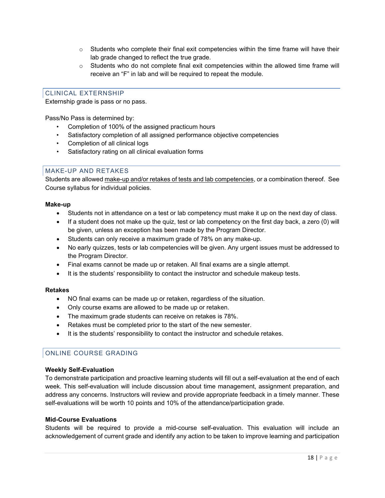- $\circ$  Students who complete their final exit competencies within the time frame will have their lab grade changed to reflect the true grade.
- $\circ$  Students who do not complete final exit competencies within the allowed time frame will receive an "F" in lab and will be required to repeat the module.

## <span id="page-21-0"></span>CLINICAL EXTERNSHIP

Externship grade is pass or no pass.

Pass/No Pass is determined by:

- Completion of 100% of the assigned practicum hours
- Satisfactory completion of all assigned performance objective competencies
- Completion of all clinical logs
- Satisfactory rating on all clinical evaluation forms

### <span id="page-21-1"></span>MAKE-UP AND RETAKES

Students are allowed make-up and/or retakes of tests and lab competencies, or a combination thereof. See Course syllabus for individual policies.

### **Make-up**

- Students not in attendance on a test or lab competency must make it up on the next day of class.
- If a student does not make up the quiz, test or lab competency on the first day back, a zero (0) will be given, unless an exception has been made by the Program Director.
- Students can only receive a maximum grade of 78% on any make-up.
- No early quizzes, tests or lab competencies will be given. Any urgent issues must be addressed to the Program Director.
- Final exams cannot be made up or retaken. All final exams are a single attempt.
- It is the students' responsibility to contact the instructor and schedule makeup tests.

### **Retakes**

- NO final exams can be made up or retaken, regardless of the situation.
- Only course exams are allowed to be made up or retaken.
- The maximum grade students can receive on retakes is 78%.
- Retakes must be completed prior to the start of the new semester.
- It is the students' responsibility to contact the instructor and schedule retakes.

### <span id="page-21-2"></span>ONLINE COURSE GRADING

### **Weekly Self-Evaluation**

To demonstrate participation and proactive learning students will fill out a self-evaluation at the end of each week. This self-evaluation will include discussion about time management, assignment preparation, and address any concerns. Instructors will review and provide appropriate feedback in a timely manner. These self-evaluations will be worth 10 points and 10% of the attendance/participation grade.

### **Mid-Course Evaluations**

Students will be required to provide a mid-course self-evaluation. This evaluation will include an acknowledgement of current grade and identify any action to be taken to improve learning and participation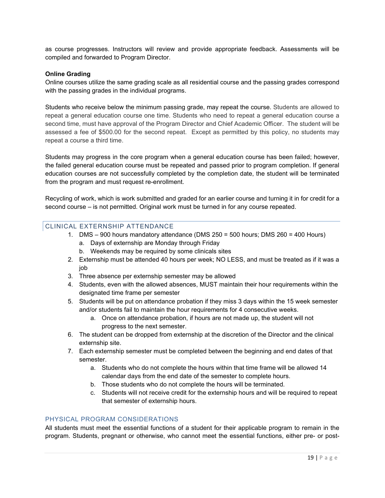as course progresses. Instructors will review and provide appropriate feedback. Assessments will be compiled and forwarded to Program Director.

### **Online Grading**

Online courses utilize the same grading scale as all residential course and the passing grades correspond with the passing grades in the individual programs.

Students who receive below the minimum passing grade, may repeat the course. Students are allowed to repeat a general education course one time. Students who need to repeat a general education course a second time, must have approval of the Program Director and Chief Academic Officer. The student will be assessed a fee of \$500.00 for the second repeat. Except as permitted by this policy, no students may repeat a course a third time.

Students may progress in the core program when a general education course has been failed; however, the failed general education course must be repeated and passed prior to program completion. If general education courses are not successfully completed by the completion date, the student will be terminated from the program and must request re-enrollment.

Recycling of work, which is work submitted and graded for an earlier course and turning it in for credit for a second course – is not permitted. Original work must be turned in for any course repeated.

### <span id="page-22-0"></span>CLINICAL EXTERNSHIP ATTENDANCE

- 1. DMS 900 hours mandatory attendance (DMS 250 = 500 hours; DMS 260 = 400 Hours)
	- a. Days of externship are Monday through Friday
	- b. Weekends may be required by some clinicals sites
- 2. Externship must be attended 40 hours per week; NO LESS, and must be treated as if it was a job
- 3. Three absence per externship semester may be allowed
- 4. Students, even with the allowed absences, MUST maintain their hour requirements within the designated time frame per semester
- 5. Students will be put on attendance probation if they miss 3 days within the 15 week semester and/or students fail to maintain the hour requirements for 4 consecutive weeks.
	- a. Once on attendance probation, if hours are not made up, the student will not progress to the next semester.
- 6. The student can be dropped from externship at the discretion of the Director and the clinical externship site.
- 7. Each externship semester must be completed between the beginning and end dates of that semester.
	- a. Students who do not complete the hours within that time frame will be allowed 14 calendar days from the end date of the semester to complete hours.
	- b. Those students who do not complete the hours will be terminated.
	- c. Students will not receive credit for the externship hours and will be required to repeat that semester of externship hours.

### <span id="page-22-1"></span>PHYSICAL PROGRAM CONSIDERATIONS

All students must meet the essential functions of a student for their applicable program to remain in the program. Students, pregnant or otherwise, who cannot meet the essential functions, either pre- or post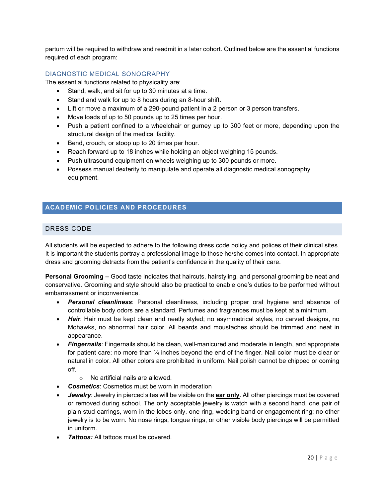partum will be required to withdraw and readmit in a later cohort. Outlined below are the essential functions required of each program:

### DIAGNOSTIC MEDICAL SONOGRAPHY

The essential functions related to physicality are:

- Stand, walk, and sit for up to 30 minutes at a time.
- Stand and walk for up to 8 hours during an 8-hour shift.
- Lift or move a maximum of a 290-pound patient in a 2 person or 3 person transfers.
- Move loads of up to 50 pounds up to 25 times per hour.
- Push a patient confined to a wheelchair or gurney up to 300 feet or more, depending upon the structural design of the medical facility.
- Bend, crouch, or stoop up to 20 times per hour.
- Reach forward up to 18 inches while holding an object weighing 15 pounds.
- Push ultrasound equipment on wheels weighing up to 300 pounds or more.
- Possess manual dexterity to manipulate and operate all diagnostic medical sonography equipment.

# <span id="page-23-1"></span><span id="page-23-0"></span>**ACADEMIC POLICIES AND PROCEDURES**

### DRESS CODE

All students will be expected to adhere to the following dress code policy and polices of their clinical sites. It is important the students portray a professional image to those he/she comes into contact. In appropriate dress and grooming detracts from the patient's confidence in the quality of their care.

**Personal Grooming –** Good taste indicates that haircuts, hairstyling, and personal grooming be neat and conservative. Grooming and style should also be practical to enable one's duties to be performed without embarrassment or inconvenience.

- *Personal cleanliness*: Personal cleanliness, including proper oral hygiene and absence of controllable body odors are a standard. Perfumes and fragrances must be kept at a minimum.
- *Hair*: Hair must be kept clean and neatly styled; no asymmetrical styles, no carved designs, no Mohawks, no abnormal hair color. All beards and moustaches should be trimmed and neat in appearance.
- *Fingernails*: Fingernails should be clean, well-manicured and moderate in length, and appropriate for patient care; no more than ¼ inches beyond the end of the finger. Nail color must be clear or natural in color. All other colors are prohibited in uniform. Nail polish cannot be chipped or coming off.
	- o No artificial nails are allowed.
- **Cosmetics**: Cosmetics must be worn in moderation
- *Jewelry*: Jewelry in pierced sites will be visible on the **ear only**. All other piercings must be covered or removed during school. The only acceptable jewelry is watch with a second hand, one pair of plain stud earrings, worn in the lobes only, one ring, wedding band or engagement ring; no other jewelry is to be worn. No nose rings, tongue rings, or other visible body piercings will be permitted in uniform.
- *Tattoos:* All tattoos must be covered.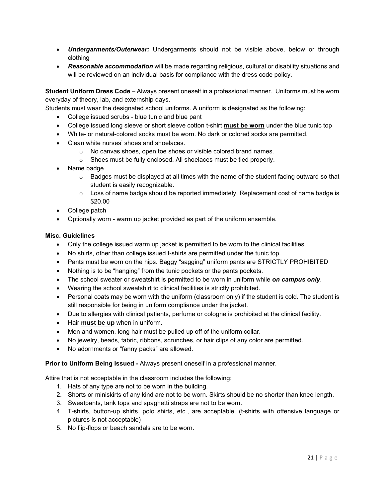- *Undergarments/Outerwear:* Undergarments should not be visible above, below or through clothing
- *Reasonable accommodation* will be made regarding religious, cultural or disability situations and will be reviewed on an individual basis for compliance with the dress code policy.

**Student Uniform Dress Code** – Always present oneself in a professional manner. Uniforms must be worn everyday of theory, lab, and externship days.

Students must wear the designated school uniforms. A uniform is designated as the following:

- College issued scrubs blue tunic and blue pant
- College issued long sleeve or short sleeve cotton t-shirt **must be worn** under the blue tunic top
- White- or natural-colored socks must be worn. No dark or colored socks are permitted.
- Clean white nurses' shoes and shoelaces.
	- $\circ$  No canvas shoes, open toe shoes or visible colored brand names.
	- o Shoes must be fully enclosed. All shoelaces must be tied properly.
- Name badge
	- $\circ$  Badges must be displayed at all times with the name of the student facing outward so that student is easily recognizable.
	- o Loss of name badge should be reported immediately. Replacement cost of name badge is \$20.00
- College patch
- Optionally worn warm up jacket provided as part of the uniform ensemble.

### **Misc. Guidelines**

- Only the college issued warm up jacket is permitted to be worn to the clinical facilities.
- No shirts, other than college issued t-shirts are permitted under the tunic top.
- Pants must be worn on the hips. Baggy "sagging" uniform pants are STRICTLY PROHIBITED
- Nothing is to be "hanging" from the tunic pockets or the pants pockets.
- The school sweater or sweatshirt is permitted to be worn in uniform while *on campus only*.
- Wearing the school sweatshirt to clinical facilities is strictly prohibited.
- Personal coats may be worn with the uniform (classroom only) if the student is cold. The student is still responsible for being in uniform compliance under the jacket.
- Due to allergies with clinical patients, perfume or cologne is prohibited at the clinical facility.
- Hair **must be up** when in uniform.
- Men and women, long hair must be pulled up off of the uniform collar.
- No jewelry, beads, fabric, ribbons, scrunches, or hair clips of any color are permitted.
- No adornments or "fanny packs" are allowed.

### **Prior to Uniform Being Issued -** Always present oneself in a professional manner.

Attire that is not acceptable in the classroom includes the following:

- 1. Hats of any type are not to be worn in the building.
- 2. Shorts or miniskirts of any kind are not to be worn. Skirts should be no shorter than knee length.
- 3. Sweatpants, tank tops and spaghetti straps are not to be worn.
- 4. T-shirts, button-up shirts, polo shirts, etc., are acceptable. (t-shirts with offensive language or pictures is not acceptable)
- 5. No flip-flops or beach sandals are to be worn.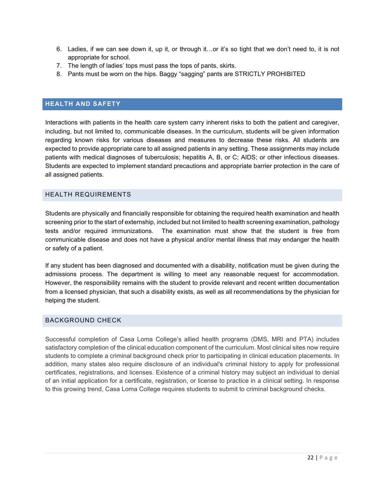- 6. Ladies, if we can see down it, up it, or through it…or it's so tight that we don't need to, it is not appropriate for school.
- 7. The length of ladies' tops must pass the tops of pants, skirts.
- 8. Pants must be worn on the hips. Baggy "sagging" pants are STRICTLY PROHIBITED

### <span id="page-25-0"></span>**HEALTH AND SAFETY**

Interactions with patients in the health care system carry inherent risks to both the patient and caregiver, including, but not limited to, communicable diseases. In the curriculum, students will be given information regarding known risks for various diseases and measures to decrease these risks. All students are expected to provide appropriate care to all assigned patients in any setting. These assignments may include patients with medical diagnoses of tuberculosis; hepatitis A, B, or C; AIDS; or other infectious diseases. Students are expected to implement standard precautions and appropriate barrier protection in the care of all assigned patients.

### <span id="page-25-1"></span>HEALTH REQUIREMENTS

Students are physically and financially responsible for obtaining the required health examination and health screening prior to the start of externship, included but not limited to health screening examination, pathology tests and/or required immunizations. The examination must show that the student is free from communicable disease and does not have a physical and/or mental illness that may endanger the health or safety of a patient.

If any student has been diagnosed and documented with a disability, notification must be given during the admissions process. The department is willing to meet any reasonable request for accommodation. However, the responsibility remains with the student to provide relevant and recent written documentation from a licensed physician, that such a disability exists, as well as all recommendations by the physician for helping the student.

### <span id="page-25-2"></span>BACKGROUND CHECK

Successful completion of Casa Loma College's allied health programs (DMS, MRI and PTA) includes satisfactory completion of the clinical education component of the curriculum. Most clinical sites now require students to complete a criminal background check prior to participating in clinical education placements. In addition, many states also require disclosure of an individual's criminal history to apply for professional certificates, registrations, and licenses. Existence of a criminal history may subject an individual to denial of an initial application for a certificate, registration, or license to practice in a clinical setting. In response to this growing trend, Casa Loma College requires students to submit to criminal background checks.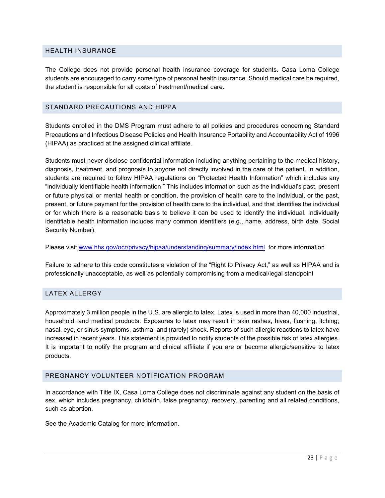### <span id="page-26-0"></span>HEALTH INSURANCE

The College does not provide personal health insurance coverage for students. Casa Loma College students are encouraged to carry some type of personal health insurance. Should medical care be required, the student is responsible for all costs of treatment/medical care.

### <span id="page-26-1"></span>STANDARD PRECAUTIONS AND HIPPA

Students enrolled in the DMS Program must adhere to all policies and procedures concerning Standard Precautions and Infectious Disease Policies and Health Insurance Portability and Accountability Act of 1996 (HIPAA) as practiced at the assigned clinical affiliate.

Students must never disclose confidential information including anything pertaining to the medical history, diagnosis, treatment, and prognosis to anyone not directly involved in the care of the patient. In addition, students are required to follow HIPAA regulations on "Protected Health Information" which includes any "individually identifiable health information." This includes information such as the individual's past, present or future physical or mental health or condition, the provision of health care to the individual, or the past, present, or future payment for the provision of health care to the individual, and that identifies the individual or for which there is a reasonable basis to believe it can be used to identify the individual. Individually identifiable health information includes many common identifiers (e.g., name, address, birth date, Social Security Number).

Please visit [www.hhs.gov/ocr/privacy/hipaa/understanding/summary/index.html](http://www.hhs.gov/ocr/privacy/hipaa/understanding/summary/index.html) for more information.

Failure to adhere to this code constitutes a violation of the "Right to Privacy Act," as well as HIPAA and is professionally unacceptable, as well as potentially compromising from a medical/legal standpoint

### <span id="page-26-2"></span>LATEX ALLERGY

Approximately 3 million people in the U.S. are allergic to latex. Latex is used in more than 40,000 industrial, household, and medical products. Exposures to latex may result in skin rashes, hives, flushing, itching; nasal, eye, or sinus symptoms, asthma, and (rarely) shock. Reports of such allergic reactions to latex have increased in recent years. This statement is provided to notify students of the possible risk of latex allergies. It is important to notify the program and clinical affiliate if you are or become allergic/sensitive to latex products.

# <span id="page-26-3"></span>PREGNANCY VOLUNTEER NOTIFICATION PROGRAM

In accordance with Title IX, Casa Loma College does not discriminate against any student on the basis of sex, which includes pregnancy, childbirth, false pregnancy, recovery, parenting and all related conditions, such as abortion.

See the Academic Catalog for more information.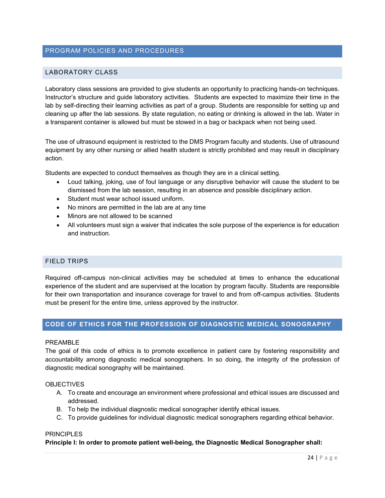# <span id="page-27-1"></span><span id="page-27-0"></span>PROGRAM POLICIES AND PROCEDURES

### LABORATORY CLASS

Laboratory class sessions are provided to give students an opportunity to practicing hands-on techniques. Instructor's structure and guide laboratory activities. Students are expected to maximize their time in the lab by self-directing their learning activities as part of a group. Students are responsible for setting up and cleaning up after the lab sessions. By state regulation, no eating or drinking is allowed in the lab. Water in a transparent container is allowed but must be stowed in a bag or backpack when not being used.

The use of ultrasound equipment is restricted to the DMS Program faculty and students. Use of ultrasound equipment by any other nursing or allied health student is strictly prohibited and may result in disciplinary action.

Students are expected to conduct themselves as though they are in a clinical setting.

- Loud talking, joking, use of foul language or any disruptive behavior will cause the student to be dismissed from the lab session, resulting in an absence and possible disciplinary action.
- Student must wear school issued uniform.
- No minors are permitted in the lab are at any time
- Minors are not allowed to be scanned
- All volunteers must sign a waiver that indicates the sole purpose of the experience is for education and instruction.

### <span id="page-27-2"></span>FIELD TRIPS

Required off-campus non-clinical activities may be scheduled at times to enhance the educational experience of the student and are supervised at the location by program faculty. Students are responsible for their own transportation and insurance coverage for travel to and from off-campus activities. Students must be present for the entire time, unless approved by the instructor.

### <span id="page-27-3"></span>**CODE OF ETHICS FOR THE PROFESSION OF DIAGNOSTIC MEDICAL SONOGRAPHY**

### PREAMBLE

The goal of this code of ethics is to promote excellence in patient care by fostering responsibility and accountability among diagnostic medical sonographers. In so doing, the integrity of the profession of diagnostic medical sonography will be maintained.

### OBJECTIVES

- A. To create and encourage an environment where professional and ethical issues are discussed and addressed.
- B. To help the individual diagnostic medical sonographer identify ethical issues.
- C. To provide guidelines for individual diagnostic medical sonographers regarding ethical behavior.

# PRINCIPLES **Principle I: In order to promote patient well-being, the Diagnostic Medical Sonographer shall:**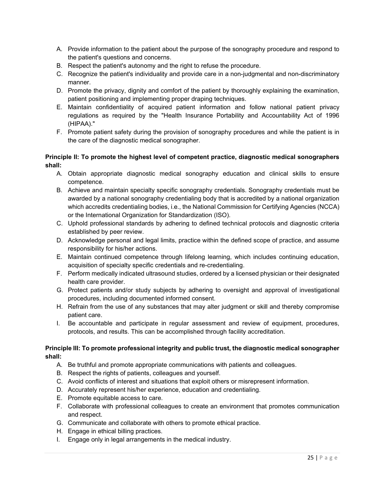- A. Provide information to the patient about the purpose of the sonography procedure and respond to the patient's questions and concerns.
- B. Respect the patient's autonomy and the right to refuse the procedure.
- C. Recognize the patient's individuality and provide care in a non-judgmental and non-discriminatory manner.
- D. Promote the privacy, dignity and comfort of the patient by thoroughly explaining the examination, patient positioning and implementing proper draping techniques.
- E. Maintain confidentiality of acquired patient information and follow national patient privacy regulations as required by the "Health Insurance Portability and Accountability Act of 1996 (HIPAA)."
- F. Promote patient safety during the provision of sonography procedures and while the patient is in the care of the diagnostic medical sonographer.

## **Principle II: To promote the highest level of competent practice, diagnostic medical sonographers shall:**

- A. Obtain appropriate diagnostic medical sonography education and clinical skills to ensure competence.
- B. Achieve and maintain specialty specific sonography credentials. Sonography credentials must be awarded by a national sonography credentialing body that is accredited by a national organization which accredits credentialing bodies, i.e., the National Commission for Certifying Agencies (NCCA) or the International Organization for Standardization (ISO).
- C. Uphold professional standards by adhering to defined technical protocols and diagnostic criteria established by peer review.
- D. Acknowledge personal and legal limits, practice within the defined scope of practice, and assume responsibility for his/her actions.
- E. Maintain continued competence through lifelong learning, which includes continuing education, acquisition of specialty specific credentials and re-credentialing.
- F. Perform medically indicated ultrasound studies, ordered by a licensed physician or their designated health care provider.
- G. Protect patients and/or study subjects by adhering to oversight and approval of investigational procedures, including documented informed consent.
- H. Refrain from the use of any substances that may alter judgment or skill and thereby compromise patient care.
- I. Be accountable and participate in regular assessment and review of equipment, procedures, protocols, and results. This can be accomplished through facility accreditation.

# **Principle III: To promote professional integrity and public trust, the diagnostic medical sonographer shall:**

- A. Be truthful and promote appropriate communications with patients and colleagues.
- B. Respect the rights of patients, colleagues and yourself.
- C. Avoid conflicts of interest and situations that exploit others or misrepresent information.
- D. Accurately represent his/her experience, education and credentialing.
- E. Promote equitable access to care.
- F. Collaborate with professional colleagues to create an environment that promotes communication and respect.
- G. Communicate and collaborate with others to promote ethical practice.
- H. Engage in ethical billing practices.
- I. Engage only in legal arrangements in the medical industry.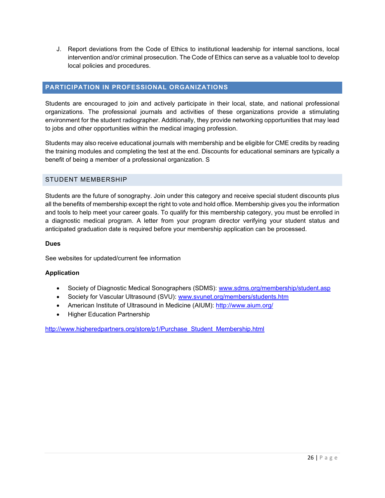J. Report deviations from the Code of Ethics to institutional leadership for internal sanctions, local intervention and/or criminal prosecution. The Code of Ethics can serve as a valuable tool to develop local policies and procedures.

# <span id="page-29-0"></span>**PARTICIPATION IN PROFESSIONAL ORGANIZATIONS**

Students are encouraged to join and actively participate in their local, state, and national professional organizations. The professional journals and activities of these organizations provide a stimulating environment for the student radiographer. Additionally, they provide networking opportunities that may lead to jobs and other opportunities within the medical imaging profession.

Students may also receive educational journals with membership and be eligible for CME credits by reading the training modules and completing the test at the end. Discounts for educational seminars are typically a benefit of being a member of a professional organization. S

### <span id="page-29-1"></span>STUDENT MEMBERSHIP

Students are the future of sonography. Join under this category and receive special student discounts plus all the benefits of membership except the right to vote and hold office. Membership gives you the information and tools to help meet your career goals. To qualify for this membership category, you must be enrolled in a diagnostic medical program. A letter from your program director verifying your student status and anticipated graduation date is required before your membership application can be processed.

### **Dues**

See websites for updated/current fee information

### **Application**

- Society of Diagnostic Medical Sonographers (SDMS): www.sdms.org/membership/student.asp
- Society for Vascular Ultrasound (SVU): [www.svunet.org/members/students.htm](http://www.svunet.org/members/students.htm)
- American Institute of Ultrasound in Medicine (AIUM):<http://www.aium.org/>
- Higher Education Partnership

[http://www.higheredpartners.org/store/p1/Purchase\\_Student\\_Membership.html](http://www.higheredpartners.org/store/p1/Purchase_Student_Membership.html)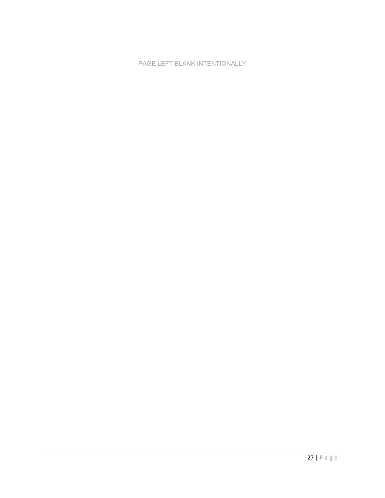# PAGE LEFT BLANK INTENTIONALLY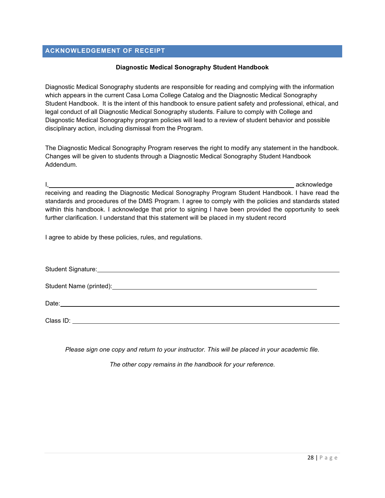# <span id="page-31-0"></span>**ACKNOWLEDGEMENT OF RECEIPT**

### **Diagnostic Medical Sonography Student Handbook**

Diagnostic Medical Sonography students are responsible for reading and complying with the information which appears in the current Casa Loma College Catalog and the Diagnostic Medical Sonography Student Handbook. It is the intent of this handbook to ensure patient safety and professional, ethical, and legal conduct of all Diagnostic Medical Sonography students. Failure to comply with College and Diagnostic Medical Sonography program policies will lead to a review of student behavior and possible disciplinary action, including dismissal from the Program.

The Diagnostic Medical Sonography Program reserves the right to modify any statement in the handbook. Changes will be given to students through a Diagnostic Medical Sonography Student Handbook Addendum.

I, according to the contract of the contract of the contract of the contract of the contract of the contract of the contract of the contract of the contract of the contract of the contract of the contract of the contract o receiving and reading the Diagnostic Medical Sonography Program Student Handbook. I have read the standards and procedures of the DMS Program. I agree to comply with the policies and standards stated within this handbook. I acknowledge that prior to signing I have been provided the opportunity to seek further clarification. I understand that this statement will be placed in my student record

I agree to abide by these policies, rules, and regulations.

| <b>Student Signature:</b> |  |
|---------------------------|--|
|                           |  |

Student Name (printed): etc. and the student of the student of the student of the student of the student of the student of the student of the student of the student of the student of the student of the student of the stude

Date: etc. and the contract of the contract of the contract of the contract of the contract of the contract of the contract of the contract of the contract of the contract of the contract of the contract of the contract of

Class ID:

*Please sign one copy and return to your instructor. This will be placed in your academic file.*

*The other copy remains in the handbook for your reference.*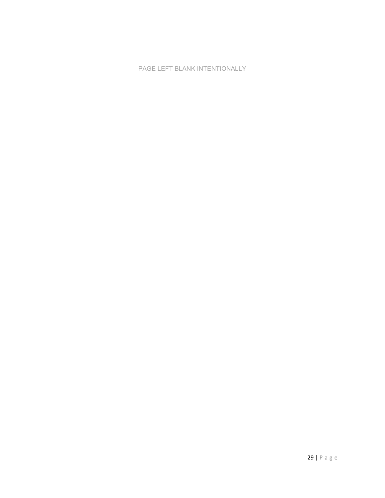# PAGE LEFT BLANK INTENTIONALLY